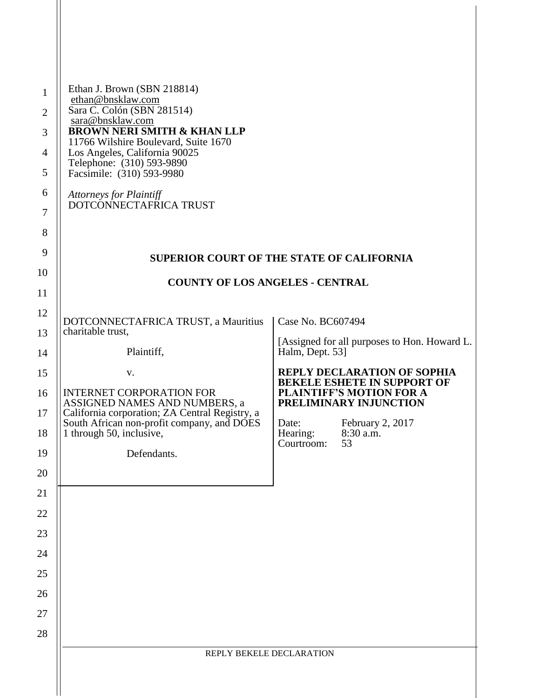| $\mathbf{1}$<br>$\overline{2}$<br>3<br>$\overline{4}$<br>5<br>6<br>7 | Ethan J. Brown (SBN 218814)<br>ethan@bnsklaw.com<br>Sara C. Colón (SBN 281514)<br>sara@bnsklaw.com<br><b>BROWN NERI SMITH &amp; KHAN LLP</b><br>11766 Wilshire Boulevard, Suite 1670<br>Los Angeles, California 90025<br>Telephone: (310) 593-9890<br>Facsimile: (310) 593-9980<br><b>Attorneys for Plaintiff</b><br>DOTCONNECTAFRICA TRUST |                                                                 |  |
|----------------------------------------------------------------------|---------------------------------------------------------------------------------------------------------------------------------------------------------------------------------------------------------------------------------------------------------------------------------------------------------------------------------------------|-----------------------------------------------------------------|--|
| $8\,$                                                                |                                                                                                                                                                                                                                                                                                                                             |                                                                 |  |
| 9                                                                    | <b>SUPERIOR COURT OF THE STATE OF CALIFORNIA</b>                                                                                                                                                                                                                                                                                            |                                                                 |  |
| 10                                                                   | <b>COUNTY OF LOS ANGELES - CENTRAL</b>                                                                                                                                                                                                                                                                                                      |                                                                 |  |
| 11                                                                   |                                                                                                                                                                                                                                                                                                                                             |                                                                 |  |
| 12                                                                   | DOTCONNECTAFRICA TRUST, a Mauritius                                                                                                                                                                                                                                                                                                         | Case No. BC607494                                               |  |
| 13<br>14                                                             | charitable trust,<br>Plaintiff,                                                                                                                                                                                                                                                                                                             | [Assigned for all purposes to Hon. Howard L.<br>Halm, Dept. 53] |  |
| 15                                                                   | V.                                                                                                                                                                                                                                                                                                                                          | <b>REPLY DECLARATION OF SOPHIA</b>                              |  |
| 16                                                                   | <b>INTERNET CORPORATION FOR</b>                                                                                                                                                                                                                                                                                                             | <b>BEKELE ESHETE IN SUPPORT OF</b><br>PLAINTIFF'S MOTION FOR A  |  |
| 17                                                                   | ASSIGNED NAMES AND NUMBERS, a<br>California corporation; ZA Central Registry, a                                                                                                                                                                                                                                                             | PRELIMINARY INJUNCTION                                          |  |
| 18                                                                   | South African non-profit company, and DOES<br>1 through 50, inclusive,                                                                                                                                                                                                                                                                      | Date:<br>February 2, 2017<br>Hearing:<br>8:30 a.m.              |  |
| 19                                                                   | Defendants.                                                                                                                                                                                                                                                                                                                                 | Courtroom:<br>53                                                |  |
| 20                                                                   |                                                                                                                                                                                                                                                                                                                                             |                                                                 |  |
| 21                                                                   |                                                                                                                                                                                                                                                                                                                                             |                                                                 |  |
| 22                                                                   |                                                                                                                                                                                                                                                                                                                                             |                                                                 |  |
| 23                                                                   |                                                                                                                                                                                                                                                                                                                                             |                                                                 |  |
| 24<br>25                                                             |                                                                                                                                                                                                                                                                                                                                             |                                                                 |  |
| 26                                                                   |                                                                                                                                                                                                                                                                                                                                             |                                                                 |  |
| 27                                                                   |                                                                                                                                                                                                                                                                                                                                             |                                                                 |  |
| 28                                                                   |                                                                                                                                                                                                                                                                                                                                             |                                                                 |  |
|                                                                      | REPLY BEKELE DECLARATION                                                                                                                                                                                                                                                                                                                    |                                                                 |  |
|                                                                      |                                                                                                                                                                                                                                                                                                                                             |                                                                 |  |
|                                                                      |                                                                                                                                                                                                                                                                                                                                             |                                                                 |  |

 $\mathsf{I}$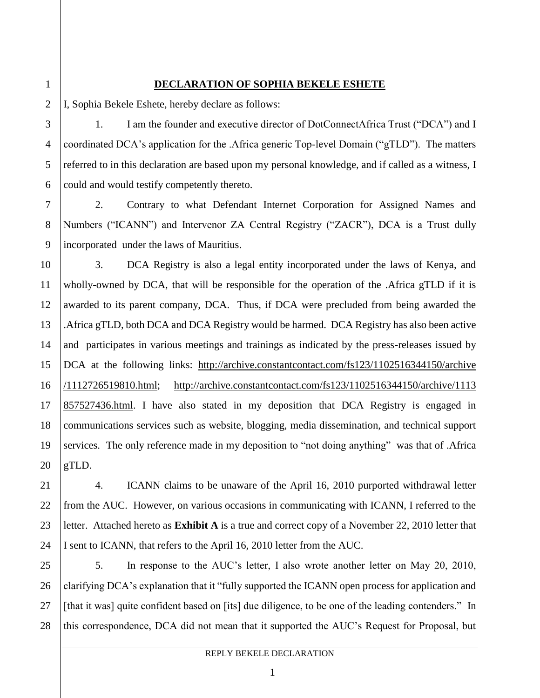## **DECLARATION OF SOPHIA BEKELE ESHETE**

I, Sophia Bekele Eshete, hereby declare as follows:

1. I am the founder and executive director of DotConnectAfrica Trust ("DCA") and I coordinated DCA's application for the .Africa generic Top-level Domain ("gTLD"). The matters referred to in this declaration are based upon my personal knowledge, and if called as a witness, I could and would testify competently thereto.

2. Contrary to what Defendant Internet Corporation for Assigned Names and Numbers ("ICANN") and Intervenor ZA Central Registry ("ZACR"), DCA is a Trust dully incorporated under the laws of Mauritius.

3. DCA Registry is also a legal entity incorporated under the laws of Kenya, and wholly-owned by DCA, that will be responsible for the operation of the .Africa gTLD if it is awarded to its parent company, DCA. Thus, if DCA were precluded from being awarded the .Africa gTLD, both DCA and DCA Registry would be harmed. DCA Registry has also been active and participates in various meetings and trainings as indicated by the press-releases issued by DCA at the following links: [http://archive.constantcontact.com/fs123/1102516344150/archive](http://archive.constantcontact.com/fs123/1102516344150/archive/1112726519810.html) [/1112726519810.html;](http://archive.constantcontact.com/fs123/1102516344150/archive/1112726519810.html) [http://archive.constantcontact.com/fs123/1102516344150/archive/1113](http://archive.constantcontact.com/fs123/1102516344150/archive/1113857527436.html) [857527436.html.](http://archive.constantcontact.com/fs123/1102516344150/archive/1113857527436.html) I have also stated in my deposition that DCA Registry is engaged in communications services such as website, blogging, media dissemination, and technical support services. The only reference made in my deposition to "not doing anything" was that of .Africa gTLD.

4. ICANN claims to be unaware of the April 16, 2010 purported withdrawal letter from the AUC. However, on various occasions in communicating with ICANN, I referred to the letter. Attached hereto as **Exhibit A** is a true and correct copy of a November 22, 2010 letter that I sent to ICANN, that refers to the April 16, 2010 letter from the AUC.

5. In response to the AUC's letter, I also wrote another letter on May 20, 2010, clarifying DCA's explanation that it "fully supported the ICANN open process for application and [that it was] quite confident based on [its] due diligence, to be one of the leading contenders." In this correspondence, DCA did not mean that it supported the AUC's Request for Proposal, but

1

2

3

4

5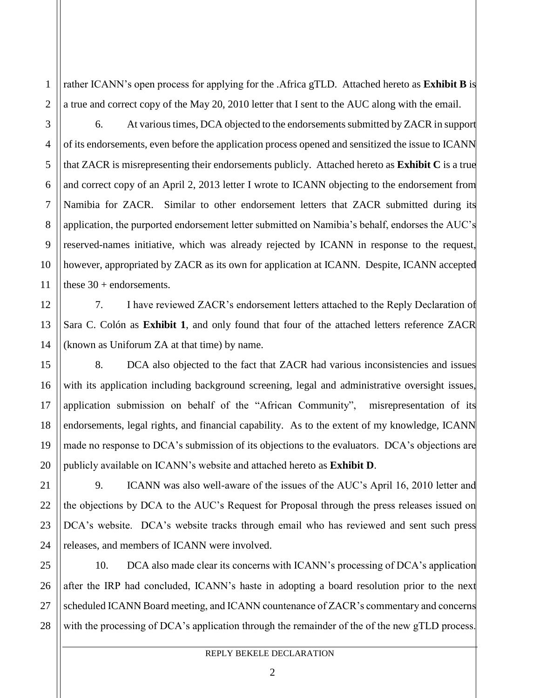rather ICANN's open process for applying for the .Africa gTLD. Attached hereto as **Exhibit B** is a true and correct copy of the May 20, 2010 letter that I sent to the AUC along with the email.

6. At various times, DCA objected to the endorsements submitted by ZACR in support of its endorsements, even before the application process opened and sensitized the issue to ICANN that ZACR is misrepresenting their endorsements publicly. Attached hereto as **Exhibit C** is a true and correct copy of an April 2, 2013 letter I wrote to ICANN objecting to the endorsement from Namibia for ZACR. Similar to other endorsement letters that ZACR submitted during its application, the purported endorsement letter submitted on Namibia's behalf, endorses the AUC's reserved-names initiative, which was already rejected by ICANN in response to the request, however, appropriated by ZACR as its own for application at ICANN. Despite, ICANN accepted these  $30 +$  endorsements.

7. I have reviewed ZACR's endorsement letters attached to the Reply Declaration of Sara C. Colón as **Exhibit 1**, and only found that four of the attached letters reference ZACR (known as Uniforum ZA at that time) by name.

8. DCA also objected to the fact that ZACR had various inconsistencies and issues with its application including background screening, legal and administrative oversight issues, application submission on behalf of the "African Community", misrepresentation of its endorsements, legal rights, and financial capability. As to the extent of my knowledge, ICANN made no response to DCA's submission of its objections to the evaluators. DCA's objections are publicly available on ICANN's website and attached hereto as **Exhibit D**.

9. ICANN was also well-aware of the issues of the AUC's April 16, 2010 letter and the objections by DCA to the AUC's Request for Proposal through the press releases issued on DCA's website. DCA's website tracks through email who has reviewed and sent such press releases, and members of ICANN were involved.

10. DCA also made clear its concerns with ICANN's processing of DCA's application after the IRP had concluded, ICANN's haste in adopting a board resolution prior to the next scheduled ICANN Board meeting, and ICANN countenance of ZACR's commentary and concerns with the processing of DCA's application through the remainder of the of the new gTLD process.

1